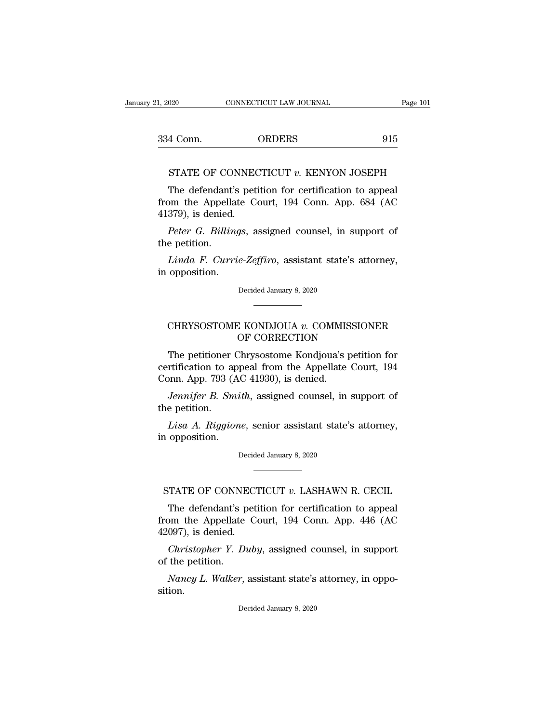1, 2020 CONNECTICUT LAW JOURNAL Page 101<br>334 Conn. ORDERS 915 order CONNECTICUT LAW JOURNAL Page 101<br>4 Conn. ORDERS 915<br>STATE OF CONNECTICUT *v*. KENYON JOSEPH<br>The defendant's petition for certification to appeal

4 Conn. ORDERS 915<br>
STATE OF CONNECTICUT v. KENYON JOSEPH<br>
The defendant's petition for certification to appeal<br>
om the Appellate Court, 194 Conn. App. 684 (AC 915<br>
STATE OF CONNECTICUT v. KENYON JOSEPH<br>
The defendant's petition for certification to appeal<br>
from the Appellate Court, 194 Conn. App. 684 (AC<br>
41379), is denied. 334 Conn.<br>
STATE OF CONNEC<br>
The defendant's pet<br>
from the Appellate C<br>
41379), is denied.<br>
Peter G. Billings, a *STATE OF CONNECTICUT v. KENYON JOSEPH*<br>The defendant's petition for certification to appeal<br>pm the Appellate Court, 194 Conn. App. 684 (AC<br>379), is denied.<br>*Peter G. Billings*, assigned counsel, in support of<br>e petition. STATE OF CO.<br>The defendant<br>from the Appella<br>41379), is denied.<br>Peter G. Billin<br>the petition.<br>Linda F. Curr The defendant's petition for certification to appeal<br>
2011 the Appellate Court, 194 Conn. App. 684 (AC<br>
279), is denied.<br> *Peter G. Billings*, assigned counsel, in support of<br> *Linda F. Currie-Zeffiro*, assistant state's a from the Appellate<br>41379), is denied.<br>Peter G. Billing<br>the petition.<br>Linda F. Currie<br>in opposition.

Peter G. Billings, assigned counsel, in support of<br>e petition.<br>Linda F. Currie-Zeffiro, assistant state's attorney,<br>opposition.<br>Decided January 8, 2020

Linda F. Currie-Zeffiro, assistant state's attorney, opposition.<br>Decided January 8, 2020<br>CHRYSOSTOME KONDJOUA *v.* COMMISSIONER<br>OF CORRECTION

## Decided January 8, 2020<br>Decided January 8, 2020<br>C KONDJOUA v. COMMISSIONE<br>OF CORRECTION<br>Chrysostome Kondjoua's petition

Decided January 8, 2020<br>
The petitioner Chrysostome Kondjoua's petition for<br>
The petitioner Chrysostome Kondjoua's petition for<br>
The petitioner Chrysostome Kondjoua's petition for<br>
The petition to appeal from the Appellate CHRYSOSTOME KONDJOUA v. COMMISSIONER<br>OF CORRECTION<br>The petitioner Chrysostome Kondjoua's petition for<br>certification to appeal from the Appellate Court, 194<br>Conn. App. 793 (AC 41930), is denied. CHRYSOSTOME KONDJOUA v. COMMIS<br>OF CORRECTION<br>The petitioner Chrysostome Kondjoua's p<br>certification to appeal from the Appellate<br>Conn. App. 793 (AC 41930), is denied.<br>Jennifer B. Smith, assigned counsel, in CHRYSOSTOME KONDJOUA *v*. COMMISSIONER<br> *OF* CORRECTION<br> *The petitioner Chrysostome Kondjoua's petition for<br>
rtification to appeal from the Appellate Court, 194<br>
pnn. App. 793 (AC 41930), is denied.<br>
<i>Jennifer B. Smith*, The petitioner<br>certification to a<br>Conn. App. 793 (<br>*Jennifer B. Sm*<br>the petition.<br>*Lisa A. Riggio* The petitioner Chrysostome Kondjoua's petition for<br>rtification to appeal from the Appellate Court, 194<br>pnn. App. 793 (AC 41930), is denied.<br>*Jennifer B. Smith*, assigned counsel, in support of<br>e petition.<br>*Lisa A. Riggione* certification to app<br>Conn. App. 793 (A)<br>*Jennifer B. Smi*<br>the petition.<br>*Lisa A. Riggion*<br>in opposition.

*Jennifer B. Smith*, assigned counsel, in support of<br>e petition.<br>Lisa A. Riggione, senior assistant state's attorney,<br>opposition.<br>Decided January 8, 2020

Lisa A. Riggione, senior assistant state's attorney,<br>
n opposition.<br>
Decided January 8, 2020<br>
STATE OF CONNECTICUT *v*. LASHAWN R. CECIL<br>
The defendant's petition for certification to appeal

opposition.<br>
Decided January 8, 2020<br>
TATE OF CONNECTICUT v. LASHAWN R. CECIL<br>
The defendant's petition for certification to appeal<br>
om the Appellate Court, 194 Conn. App. 446 (AC<br>
007) is donied Decided January 8, 2020<br>
TATE OF CONNECTICUT v. LASHAWN R. CECIL<br>
The defendant's petition for certification to appeal<br>
from the Appellate Court, 194 Conn. App. 446 (AC<br>
42097), is denied. STATE OF CONNECT<br>The defendant's pet<br>from the Appellate C<br>42097), is denied.<br>*Christopher Y. Dub* TATE OF CONNECTICUT *v*. LASHAWN R. CECIL<br>The defendant's petition for certification to appeal<br>om the Appellate Court, 194 Conn. App. 446 (AC<br>097), is denied.<br>*Christopher Y. Duby*, assigned counsel, in support<br>the petitio STATE OF CONNE<br>The defendant's promise the Appellate<br>42097), is denied.<br>*Christopher Y. D*<br>of the petition.<br>*Nancy L. Walker*, The defendant's petition for certification to appeal<br>
om the Appellate Court, 194 Conn. App. 446 (AC<br>
097), is denied.<br> *Christopher Y. Duby*, assigned counsel, in support<br>
the petition.<br> *Nancy L. Walker*, assistant state

Christopher Y. Duby, assigned counsel, in support<br>
i the petition.<br>
Nancy L. Walker, assistant state's attorney, in oppo-<br>
tion.<br>
Decided January 8, 2020

sition.